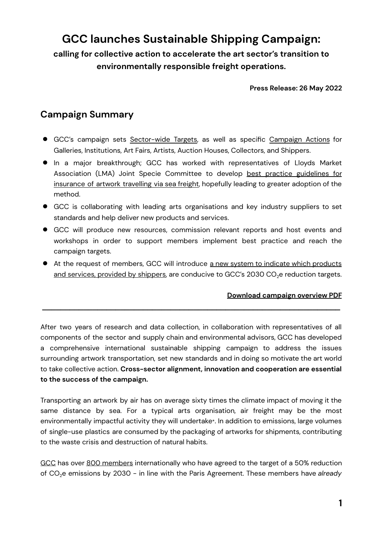# **GCC launches Sustainable Shipping Campaign:**

**calling for collective action to accelerate the art sector's transition to environmentally responsible freight operations.**

#### **Press Release: 26 May 2022**

### **Campaign Summary**

- GCC's campaign sets [Sector-wide](http://galleryclimatecoalition.org/ssc/targets/) Targets, as well as specific [Campaign](http://galleryclimatecoalition.org/ssc/actions/) Actions for Galleries, Institutions, Art Fairs, Artists, Auction Houses, Collectors, and Shippers.
- In a major breakthrough; GCC has worked with representatives of Lloyds Market Association (LMA) Joint Specie Committee to develop best practice [guidelines](https://galleryclimatecoalition.org/ssc/insurance-for-sea-freight/) for [insurance](https://galleryclimatecoalition.org/ssc/insurance-for-sea-freight/) of artwork travelling via sea freight, hopefully leading to greater adoption of the method.
- GCC is collaborating with leading arts organisations and key industry suppliers to set standards and help deliver new products and services.
- GCC will produce new resources, commission relevant reports and host events and workshops in order to support members implement best practice and reach the campaign targets.
- At the request of members, GCC will introduce a new system to indicate which [products](https://galleryclimatecoalition.org/usr/library/documents/ssc/gcc_ssc_survey-ssc.pdf) and services, [provided](https://galleryclimatecoalition.org/usr/library/documents/ssc/gcc_ssc_survey-ssc.pdf) by shippers, are conducive to GCC's 2030 CO<sub>2</sub>e reduction targets.

**\_\_\_\_\_\_\_\_\_\_\_\_\_\_\_\_\_\_\_\_\_\_\_\_\_\_\_\_\_\_\_\_\_\_\_\_\_\_\_\_\_\_\_\_\_\_\_\_\_\_\_\_\_\_\_\_\_\_\_\_\_\_\_\_\_**

### **[Download](https://galleryclimatecoalition.org/usr/library/documents/ssc/gcc_ssc_campaign-overview.pdf) campaign overview PDF**

After two years of research and data collection, in collaboration with representatives of all components of the sector and supply chain and environmental advisors, GCC has developed a comprehensive international sustainable shipping campaign to address the issues surrounding artwork transportation, set new standards and in doing so motivate the art world to take collective action. **Cross-sector alignment, innovation and cooperation are essential to the success of the campaign.**

Transporting an artwork by air has on average sixty times the climate impact of moving it the same distance by sea. For a typical arts organisation, air freight may be the most environmentally impactful activity they will undertake\*. In addition to emissions, large volumes of single-use plastics are consumed by the packaging of artworks for shipments, contributing to the waste crisis and destruction of natural habits.

[GCC](https://galleryclimatecoalition.org/) has over 800 [members](https://galleryclimatecoalition.org/member/) internationally who have agreed to the target of a 50% reduction of CO<sub>2</sub>e emissions by 2030 - in line with the Paris Agreement. These members have already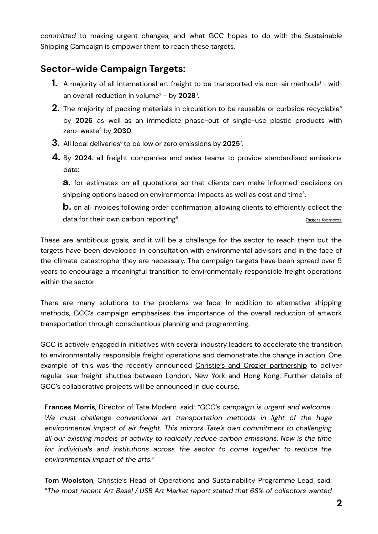*committed* to making urgent changes, and what GCC hopes to do with the Sustainable Shipping Campaign is empower them to reach these targets.

## **Sector-wide Campaign Targets:**

- **1.** A majority of all international art freight to be transported via non-air methods' with an overall reduction in volume <sup>2</sup> - by **2028** 3 .
- $\mathbf 2.$  The majority of packing materials in circulation to be reusable or curbside recyclable $^4$ by **2026** as well as an immediate phase-out of single-use plastic products with zero-waste <sup>5</sup> by **2030**.
- **3.** All local deliveries<sup>6</sup> to be low or zero emissions by **2025**<sup>7</sup>.
- **4.** By **2024**: all freight companies and sales teams to provide standardised emissions data:

**a.** for estimates on all quotations so that clients can make informed decisions on shipping options based on environmental impacts as well as cost and time $^{\rm 8}$ .

**b.** on all invoices following order confirmation, allowing clients to efficiently collect the data for their own carbon reporting $^{\circ}$ . . *Targets [footnotes](https://galleryclimatecoalition.org/ssc/targets/#targets)*

These are ambitious goals, and it will be a challenge for the sector to reach them but the targets have been developed in consultation with environmental advisors and in the face of the climate catastrophe they are necessary. The campaign targets have been spread over 5 years to encourage a meaningful transition to environmentally responsible freight operations within the sector.

There are many solutions to the problems we face. In addition to alternative shipping methods, GCC's campaign emphasises the importance of the overall reduction of artwork transportation through conscientious planning and programming.

GCC is actively engaged in initiatives with several industry leaders to accelerate the transition to environmentally responsible freight operations and demonstrate the change in action. One example of this was the recently announced Christie's and Crozier [partnership](http://website-galleryclimatecoalition3.artlogic.net/usr/library/documents/main/christie-s-crozier-sea-freight-press-release-2-.pdf) to deliver regular sea freight shuttles between London, New York and Hong Kong. Further details of GCC's collaborative projects will be announced in due course.

**Frances Morris**, Director of Tate Modern, said: *"GCC's campaign is urgent and welcome. We must challenge conventional art transportation methods in light of the huge environmental impact of air freight. This mirrors Tate's own commitment to challenging all our existing models of activity to radically reduce carbon emissions. Now is the time for individuals and institutions across the sector to come together to reduce the environmental impact of the arts."*

**Tom Woolston**, Christie's Head of Operations and Sustainability Programme Lead, said: "*The most recent Art Basel / USB Art Market report stated that 68% of collectors wanted*